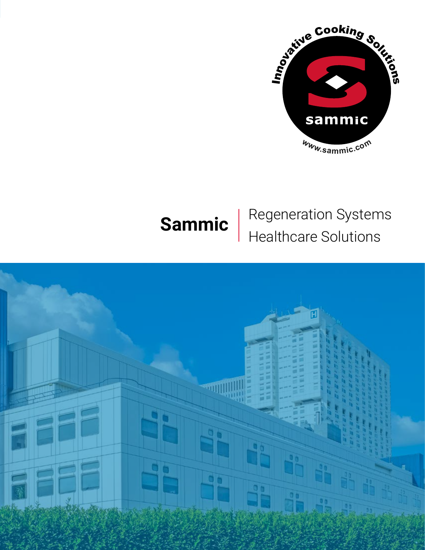

# **Sammic** Regeneration Systems Healthcare Solutions

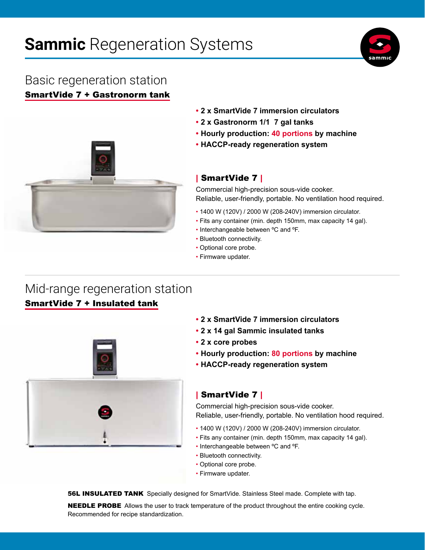# **Sammic** Regeneration Systems



### SmartVide 7 + Gastronorm tank Basic regeneration station



- **• 2 x SmartVide 7 immersion circulators**
- **• 2 x Gastronorm 1/1 7 gal tanks**
- **• Hourly production: 40 portions by machine**
- **• HACCP-ready regeneration system**

### | SmartVide 7 |

Commercial high-precision sous-vide cooker. Reliable, user-friendly, portable. No ventilation hood required.

- 1400 W (120V) / 2000 W (208-240V) immersion circulator.
- Fits any container (min. depth 150mm, max capacity 14 gal).
- Interchangeable between ºC and ºF.
- Bluetooth connectivity.
- Optional core probe.
- Firmware updater.

### Mid-range regeneration station SmartVide 7 + Insulated tank



- **• 2 x SmartVide 7 immersion circulators**
- **• 2 x 14 gal Sammic insulated tanks**
- **• 2 x core probes**
- **• Hourly production: 80 portions by machine**
- **• HACCP-ready regeneration system**

#### | SmartVide 7 |

Commercial high-precision sous-vide cooker. Reliable, user-friendly, portable. No ventilation hood required.

- 1400 W (120V) / 2000 W (208-240V) immersion circulator.
- Fits any container (min. depth 150mm, max capacity 14 gal).
- Interchangeable between ºC and ºF.
- Bluetooth connectivity.
- Optional core probe.
- Firmware updater.

**56L INSULATED TANK** Specially designed for SmartVide. Stainless Steel made. Complete with tap.

**NEEDLE PROBE** Allows the user to track temperature of the product throughout the entire cooking cycle. Recommended for recipe standardization.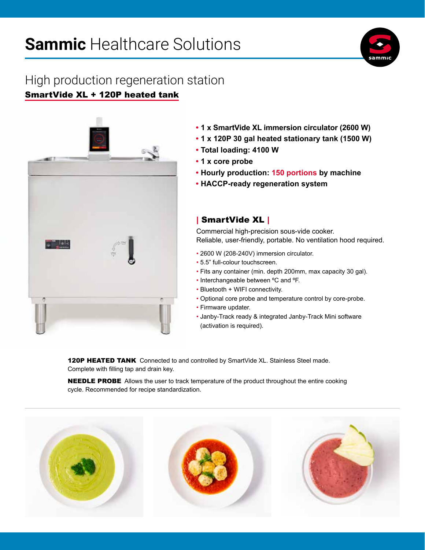# **Sammic** Healthcare Solutions



## High production regeneration station SmartVide XL + 120P heated tank



- **• 1 x SmartVide XL immersion circulator (2600 W)**
- **• 1 x 120P 30 gal heated stationary tank (1500 W)**
- **• Total loading: 4100 W**
- **• 1 x core probe**
- **• Hourly production: 150 portions by machine**
- **• HACCP-ready regeneration system**

### | SmartVide XL |

Commercial high-precision sous-vide cooker. Reliable, user-friendly, portable. No ventilation hood required.

- 2600 W (208-240V) immersion circulator.
- 5.5" full-colour touchscreen.
- Fits any container (min. depth 200mm, max capacity 30 gal).
- Interchangeable between ºC and ºF.
- Bluetooth + WIFI connectivity.
- Optional core probe and temperature control by core-probe.
- Firmware updater.
- Janby-Track ready & integrated Janby-Track Mini software (activation is required).

**120P HEATED TANK** Connected to and controlled by SmartVide XL. Stainless Steel made. Complete with filling tap and drain key.

**NEEDLE PROBE** Allows the user to track temperature of the product throughout the entire cooking cycle. Recommended for recipe standardization.